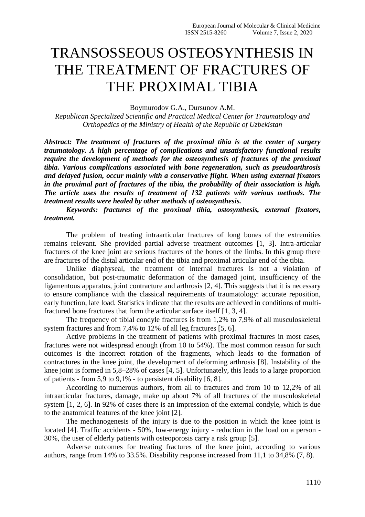# TRANSOSSEOUS OSTEOSYNTHESIS IN THE TREATMENT OF FRACTURES OF THE PROXIMAL TIBIA

Boymurodov G.A., Dursunov A.M.

*Republican Specialized Scientific and Practical Medical Center for Traumatology and Orthopedics of the Ministry of Health of the Republic of Uzbekistan*

*Abstract: The treatment of fractures of the proximal tibia is at the center of surgery traumatology. A high percentage of complications and unsatisfactory functional results require the development of methods for the osteosynthesis of fractures of the proximal tibia. Various complications associated with bone regeneration, such as pseudoarthrosis and delayed fusion, occur mainly with a conservative flight. When using external fixators in the proximal part of fractures of the tibia, the probability of their association is high. The article uses the results of treatment of 132 patients with various methods. The treatment results were healed by other methods of osteosynthesis.*

*Keywords: fractures of the proximal tibia, ostosynthesis, external fixators, treatment.*

The problem of treating intraarticular fractures of long bones of the extremities remains relevant. She provided partial adverse treatment outcomes [1, 3]. Intra-articular fractures of the knee joint are serious fractures of the bones of the limbs. In this group there are fractures of the distal articular end of the tibia and proximal articular end of the tibia.

Unlike diaphyseal, the treatment of internal fractures is not a violation of consolidation, but post-traumatic deformation of the damaged joint, insufficiency of the ligamentous apparatus, joint contracture and arthrosis [2, 4]. This suggests that it is necessary to ensure compliance with the classical requirements of traumatology: accurate reposition, early function, late load. Statistics indicate that the results are achieved in conditions of multifractured bone fractures that form the articular surface itself [1, 3, 4].

The frequency of tibial condyle fractures is from 1,2% to 7,9% of all musculoskeletal system fractures and from 7,4% to 12% of all leg fractures [5, 6].

Active problems in the treatment of patients with proximal fractures in most cases, fractures were not widespread enough (from 10 to 54%). The most common reason for such outcomes is the incorrect rotation of the fragments, which leads to the formation of contractures in the knee joint, the development of deforming arthrosis [8]. Instability of the knee joint is formed in 5,8–28% of cases [4, 5]. Unfortunately, this leads to a large proportion of patients - from 5,9 to 9,1% - to persistent disability [6, 8].

According to numerous authors, from all to fractures and from 10 to 12,2% of all intraarticular fractures, damage, make up about 7% of all fractures of the musculoskeletal system [1, 2, 6]. In 92% of cases there is an impression of the external condyle, which is due to the anatomical features of the knee joint [2].

The mechanogenesis of the injury is due to the position in which the knee joint is located [4]. Traffic accidents - 50%, low-energy injury - reduction in the load on a person - 30%, the user of elderly patients with osteoporosis carry a risk group [5].

Adverse outcomes for treating fractures of the knee joint, according to various authors, range from 14% to 33.5%. Disability response increased from 11,1 to 34,8% (7, 8).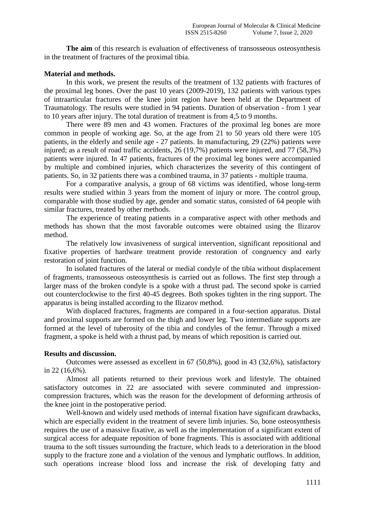**The aim** of this research is evaluation of effectiveness of transosseous osteosynthesis in the treatment of fractures of the proximal tibia.

# **Material and methods.**

In this work, we present the results of the treatment of 132 patients with fractures of the proximal leg bones. Over the past 10 years (2009-2019), 132 patients with various types of intraarticular fractures of the knee joint region have been held at the Department of Traumatology. The results were studied in 94 patients. Duration of observation - from 1 year to 10 years after injury. The total duration of treatment is from 4,5 to 9 months.

There were 89 men and 43 women. Fractures of the proximal leg bones are more common in people of working age. So, at the age from 21 to 50 years old there were 105 patients, in the elderly and senile age - 27 patients. In manufacturing, 29 (22%) patients were injured; as a result of road traffic accidents, 26 (19,7%) patients were injured, and 77 (58,3%) patients were injured. In 47 patients, fractures of the proximal leg bones were accompanied by multiple and combined injuries, which characterizes the severity of this contingent of patients. So, in 32 patients there was a combined trauma, in 37 patients - multiple trauma.

For a comparative analysis, a group of 68 victims was identified, whose long-term results were studied within 3 years from the moment of injury or more. The control group, comparable with those studied by age, gender and somatic status, consisted of 64 people with similar fractures, treated by other methods.

The experience of treating patients in a comparative aspect with other methods and methods has shown that the most favorable outcomes were obtained using the Ilizarov method.

The relatively low invasiveness of surgical intervention, significant repositional and fixative properties of hardware treatment provide restoration of congruency and early restoration of joint function.

In isolated fractures of the lateral or medial condyle of the tibia without displacement of fragments, transosseous osteosynthesis is carried out as follows. The first step through a larger mass of the broken condyle is a spoke with a thrust pad. The second spoke is carried out counterclockwise to the first 40-45 degrees. Both spokes tighten in the ring support. The apparatus is being installed according to the Ilizarov method.

With displaced fractures, fragments are compared in a four-section apparatus. Distal and proximal supports are formed on the thigh and lower leg. Two intermediate supports are formed at the level of tuberosity of the tibia and condyles of the femur. Through a mixed fragment, a spoke is held with a thrust pad, by means of which reposition is carried out.

# **Results and discussion.**

Outcomes were assessed as excellent in 67 (50,8%), good in 43 (32,6%), satisfactory in 22 (16,6%).

Almost all patients returned to their previous work and lifestyle. The obtained satisfactory outcomes in 22 are associated with severe comminuted and impressioncompression fractures, which was the reason for the development of deforming arthrosis of the knee joint in the postoperative period.

Well-known and widely used methods of internal fixation have significant drawbacks, which are especially evident in the treatment of severe limb injuries. So, bone osteosynthesis requires the use of a massive fixative, as well as the implementation of a significant extent of surgical access for adequate reposition of bone fragments. This is associated with additional trauma to the soft tissues surrounding the fracture, which leads to a deterioration in the blood supply to the fracture zone and a violation of the venous and lymphatic outflows. In addition, such operations increase blood loss and increase the risk of developing fatty and